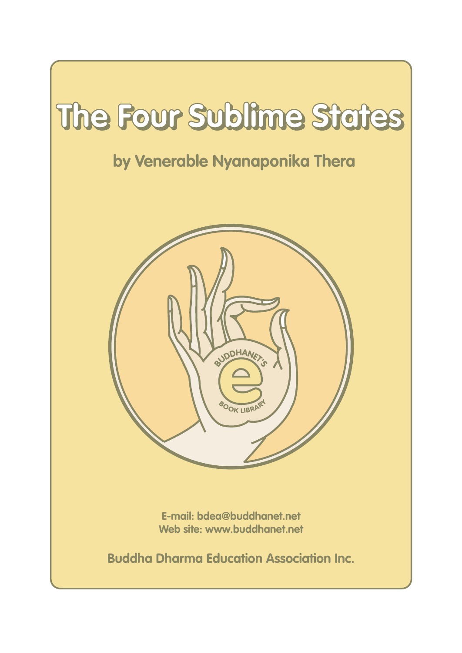

**Buddha Dharma Education Association Inc.**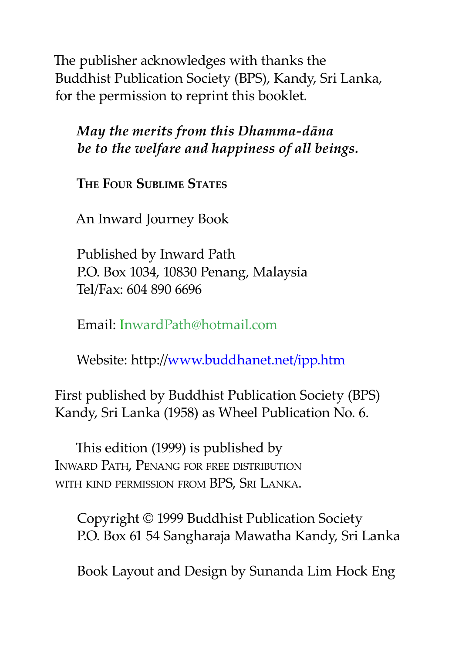The publisher acknowledges with thanks the Buddhist Publication Society (BPS), Kandy, Sri Lanka, for the permission to reprint this booklet.

*May the merits from this Dhamma-dāna be to the welfare and happiness of all beings.*

**THE FOUR SUBLIME STATES**

An Inward Journey Book

Published by Inward Path P.O. Box 1034, 10830 Penang, Malaysia Tel/Fax: 604 890 6696

Email: InwardPath@hotmail.com

[Website: http://www.buddhanet.net/ipp.htm](http://www.buddhanet.net/ipp.htm)

First published by Buddhist Publication Society (BPS) Kandy, Sri Lanka (1958) as Wheel Publication No. 6.

This edition (1999) is published by INWARD PATH, PENANG FOR FREE DISTRIBUTION WITH KIND PERMISSION FROM BPS, SRI LANKA.

Copyright © 1999 Buddhist Publication Society P.O. Box 61 54 Sangharaja Mawatha Kandy, Sri Lanka

Book Layout and Design by Sunanda Lim Hock Eng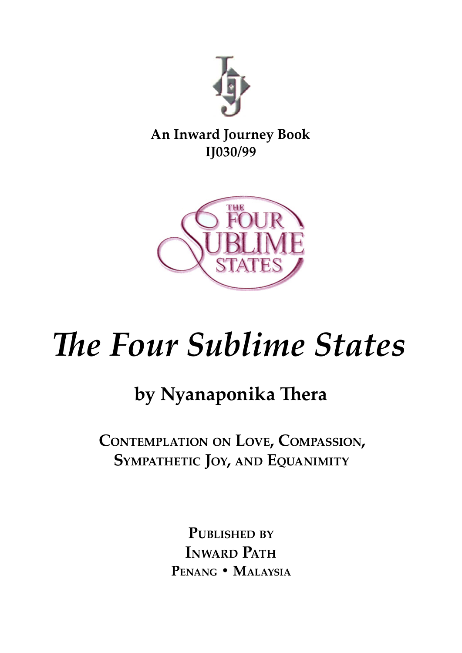

**An Inward Journey Book IJ030/99**



# *�e Four Sublime States*

### **by Nyanaponika Thera**

**CONTEMPLATION ON LOVE, COMPASSION, SYMPATHETIC JOY, AND EQUANIMITY**

> **PUBLISHED BY INWARD PATH PENANG • MALAYSIA**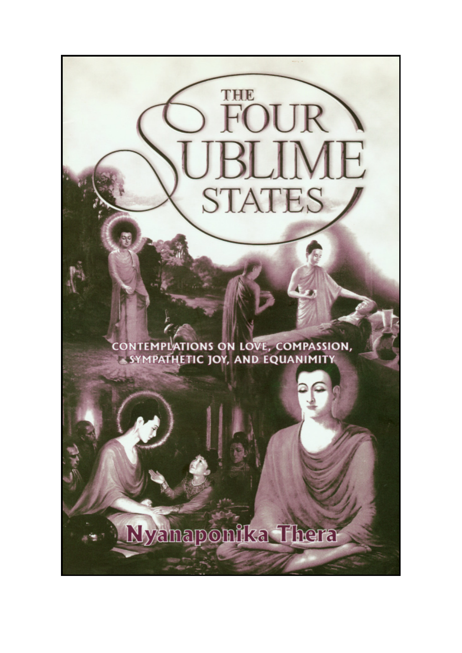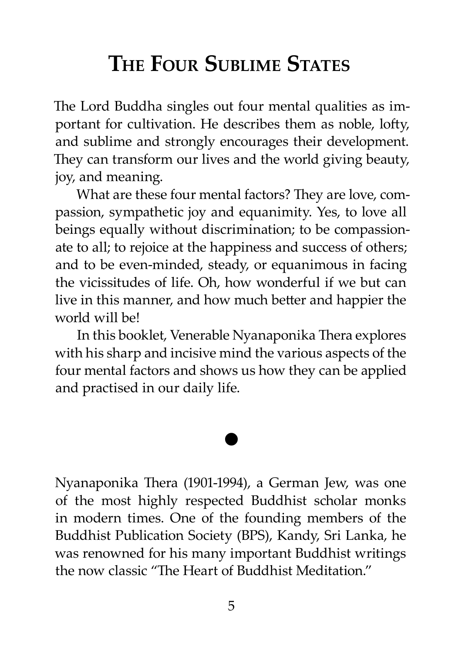### **THE FOUR SUBLIME STATES**

<span id="page-4-0"></span>The Lord Buddha singles out four mental qualities as important for cultivation. He describes them as noble, lofty, and sublime and strongly encourages their development. They can transform our lives and the world giving beauty, joy, and meaning.

What are these four mental factors? They are love, compassion, sympathetic joy and equanimity. Yes, to love all beings equally without discrimination; to be compassionate to all; to rejoice at the happiness and success of others; and to be even-minded, steady, or equanimous in facing the vicissitudes of life. Oh, how wonderful if we but can live in this manner, and how much better and happier the world will be!

In this booklet, Venerable Nyanaponika Thera explores with his sharp and incisive mind the various aspects of the four mental factors and shows us how they can be applied and practised in our daily life.

## $\bullet$

Nyanaponika Thera (1901-1994), a German Jew, was one of the most highly respected Buddhist scholar monks in modern times. One of the founding members of the Buddhist Publication Society (BPS), Kandy, Sri Lanka, he was renowned for his many important Buddhist writings the now classic "The Heart of Buddhist Meditation."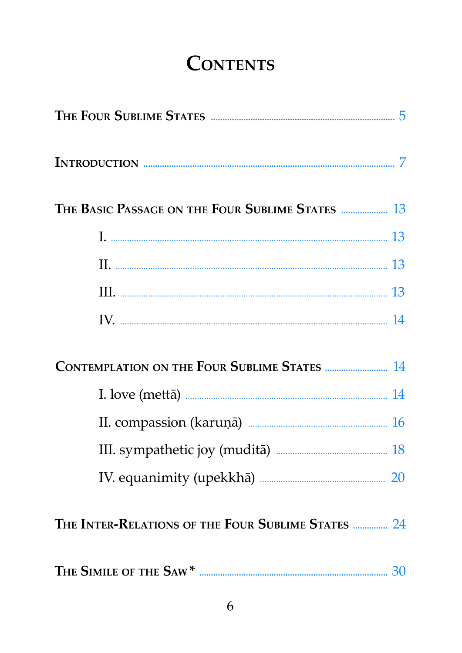### **CONTENTS**

| THE BASIC PASSAGE ON THE FOUR SUBLIME STATES  13    |  |
|-----------------------------------------------------|--|
|                                                     |  |
|                                                     |  |
|                                                     |  |
|                                                     |  |
| <b>CONTEMPLATION ON THE FOUR SUBLIME STATES  14</b> |  |
|                                                     |  |
|                                                     |  |
|                                                     |  |
|                                                     |  |
| THE INTER-RELATIONS OF THE FOUR SUBLIME STATES  24  |  |
|                                                     |  |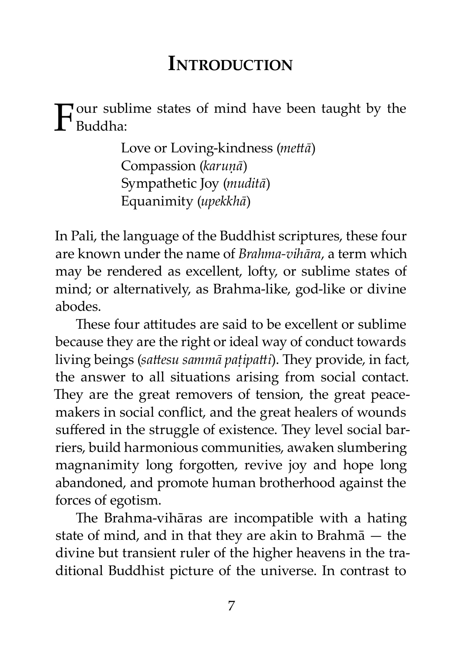### **INTRODUCTION**

<span id="page-6-0"></span>Tour sublime states of mind have been taught by the H Buddha:

> Love or Loving-kindness (*me�ā*) Compassion (*karuṇā*) Sympathetic Joy (*muditā*) Equanimity (*upekkhā*)

In Pali, the language of the Buddhist scriptures, these four are known under the name of *Brahma-vihāra*, a term which may be rendered as excellent, lofty, or sublime states of mind; or alternatively, as Brahma-like, god-like or divine abodes.

These four attitudes are said to be excellent or sublime because they are the right or ideal way of conduct towards living beings (*sattesu sammā paṭipatti*). They provide, in fact, the answer to all situations arising from social contact. They are the great removers of tension, the great peacemakers in social conflict, and the great healers of wounds suffered in the struggle of existence. They level social barriers, build harmonious communities, awaken slumbering magnanimity long forgotten, revive joy and hope long abandoned, and promote human brotherhood against the forces of egotism.

�e Brahma-vihāras are incompatible with a hating state of mind, and in that they are akin to Brahmā — the divine but transient ruler of the higher heavens in the traditional Buddhist picture of the universe. In contrast to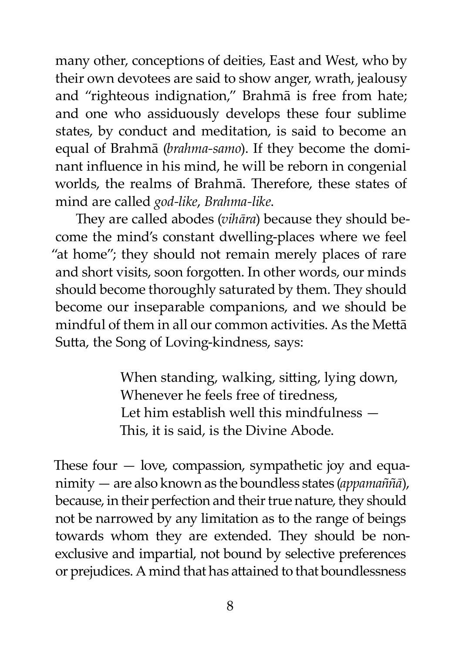many other, conceptions of deities, East and West, who by their own devotees are said to show anger, wrath, jealousy and "righteous indignation," Brahmā is free from hate; and one who assiduously develops these four sublime states, by conduct and meditation, is said to become an equal of Brahmā (*brahma-samo*). If they become the dominant influence in his mind, he will be reborn in congenial worlds, the realms of Brahmā. Therefore, these states of mind are called *god-like*, *Brahma-like*.

�ey are called abodes (*vihāra*) because they should become the mind's constant dwelling-places where we feel "at home"; they should not remain merely places of rare and short visits, soon forgotten. In other words, our minds should become thoroughly saturated by them. They should become our inseparable companions, and we should be mindful of them in all our common activities. As the Metta Sutta, the Song of Loving-kindness, says:

> When standing, walking, sitting, lying down, Whenever he feels free of tiredness, Let him establish well this mindfulness — This, it is said, is the Divine Abode.

These four  $-$  love, compassion, sympathetic joy and equanimity — are also known as the boundless states (*appamaññā*), because, in their perfection and their true nature, they should not be narrowed by any limitation as to the range of beings towards whom they are extended. They should be nonexclusive and impartial, not bound by selective preferences or prejudices. A mind that has attained to that boundlessness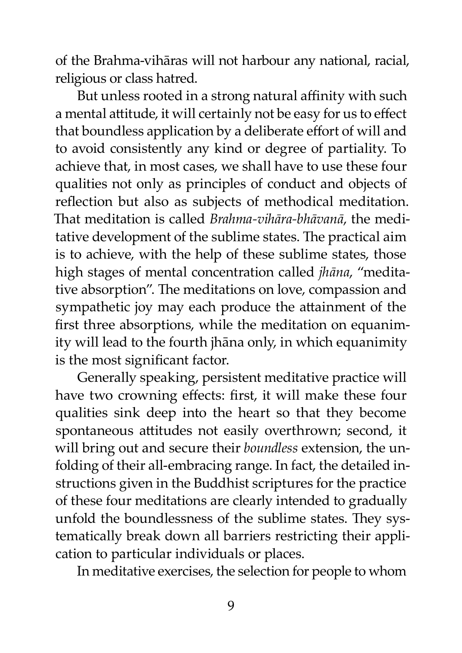of the Brahma-vihāras will not harbour any national, racial, religious or class hatred.

But unless rooted in a strong natural affinity with such a mental attitude, it will certainly not be easy for us to effect that boundless application by a deliberate effort of will and to avoid consistently any kind or degree of partiality. To achieve that, in most cases, we shall have to use these four qualities not only as principles of conduct and objects of reflection but also as subjects of methodical meditation. �at meditation is called *Brahma-vihāra-bhāvanā*, the meditative development of the sublime states. The practical aim is to achieve, with the help of these sublime states, those high stages of mental concentration called *jhāna*, "meditative absorption". The meditations on love, compassion and sympathetic joy may each produce the attainment of the first three absorptions, while the meditation on equanimity will lead to the fourth jhāna only, in which equanimity is the most significant factor.

Generally speaking, persistent meditative practice will have two crowning effects: first, it will make these four qualities sink deep into the heart so that they become spontaneous attitudes not easily overthrown; second, it will bring out and secure their *boundless* extension, the unfolding of their all-embracing range. In fact, the detailed instructions given in the Buddhist scriptures for the practice of these four meditations are clearly intended to gradually unfold the boundlessness of the sublime states. They systematically break down all barriers restricting their application to particular individuals or places.

In meditative exercises, the selection for people to whom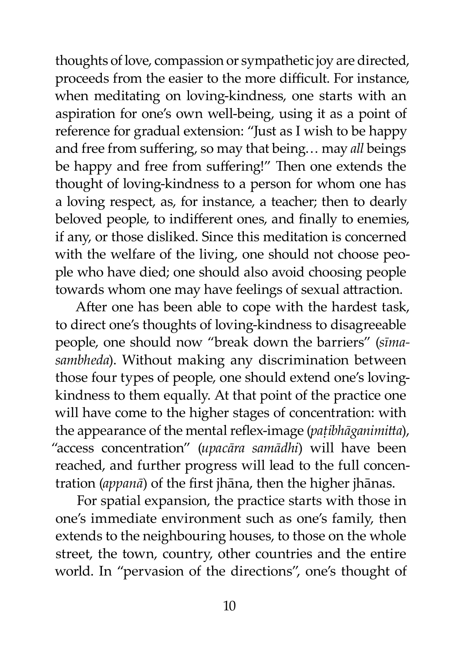thoughts of love, compassion or sympathetic joy are directed, proceeds from the easier to the more difficult. For instance, when meditating on loving-kindness, one starts with an aspiration for one's own well-being, using it as a point of reference for gradual extension: "Just as I wish to be happy and free from suffering, so may that being… may *all* beings be happy and free from suffering!" Then one extends the thought of loving-kindness to a person for whom one has a loving respect, as, for instance, a teacher; then to dearly beloved people, to indifferent ones, and finally to enemies, if any, or those disliked. Since this meditation is concerned with the welfare of the living, one should not choose people who have died; one should also avoid choosing people towards whom one may have feelings of sexual attraction.

After one has been able to cope with the hardest task, to direct one's thoughts of loving-kindness to disagreeable people, one should now "break down the barriers" (*sīmasambheda*). Without making any discrimination between those four types of people, one should extend one's lovingkindness to them equally. At that point of the practice one will have come to the higher stages of concentration: with the appearance of the mental reflex-image (*paṭibhāganimi�a*), "access concentration" (*upacāra samādhi*) will have been reached, and further progress will lead to the full concentration (*appanā*) of the first jhāna, then the higher jhānas.

For spatial expansion, the practice starts with those in one's immediate environment such as one's family, then extends to the neighbouring houses, to those on the whole street, the town, country, other countries and the entire world. In "pervasion of the directions", one's thought of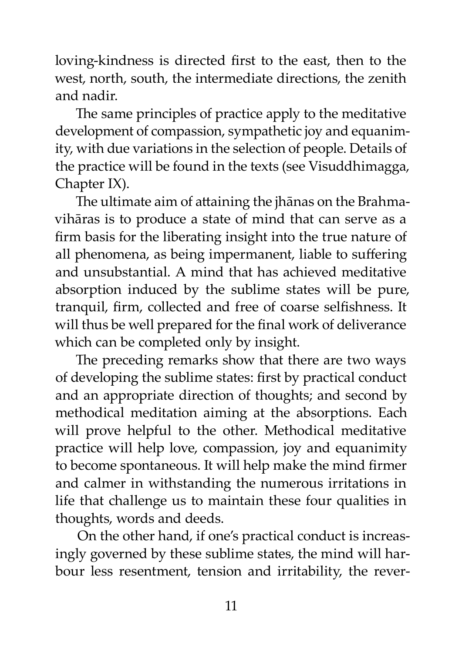loving-kindness is directed first to the east, then to the west, north, south, the intermediate directions, the zenith and nadir.

The same principles of practice apply to the meditative development of compassion, sympathetic joy and equanimity, with due variations in the selection of people. Details of the practice will be found in the texts (see Visuddhimagga, Chapter IX).

The ultimate aim of attaining the jhānas on the Brahmavihāras is to produce a state of mind that can serve as a firm basis for the liberating insight into the true nature of all phenomena, as being impermanent, liable to suffering and unsubstantial. A mind that has achieved meditative absorption induced by the sublime states will be pure, tranquil, firm, collected and free of coarse selfishness. It will thus be well prepared for the final work of deliverance which can be completed only by insight.

The preceding remarks show that there are two ways of developing the sublime states: first by practical conduct and an appropriate direction of thoughts; and second by methodical meditation aiming at the absorptions. Each will prove helpful to the other. Methodical meditative practice will help love, compassion, joy and equanimity to become spontaneous. It will help make the mind firmer and calmer in withstanding the numerous irritations in life that challenge us to maintain these four qualities in thoughts, words and deeds.

On the other hand, if one's practical conduct is increasingly governed by these sublime states, the mind will harbour less resentment, tension and irritability, the rever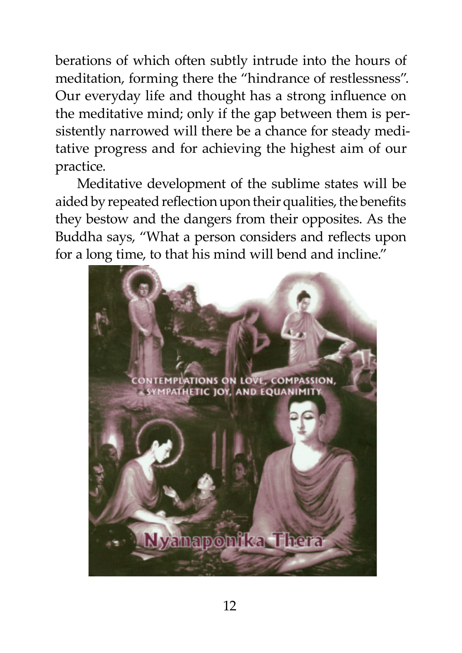berations of which often subtly intrude into the hours of meditation, forming there the "hindrance of restlessness". Our everyday life and thought has a strong influence on the meditative mind; only if the gap between them is persistently narrowed will there be a chance for steady meditative progress and for achieving the highest aim of our practice.

Meditative development of the sublime states will be aided by repeated reflection upon their qualities, the benefits they bestow and the dangers from their opposites. As the Buddha says, "What a person considers and reflects upon for a long time, to that his mind will bend and incline."

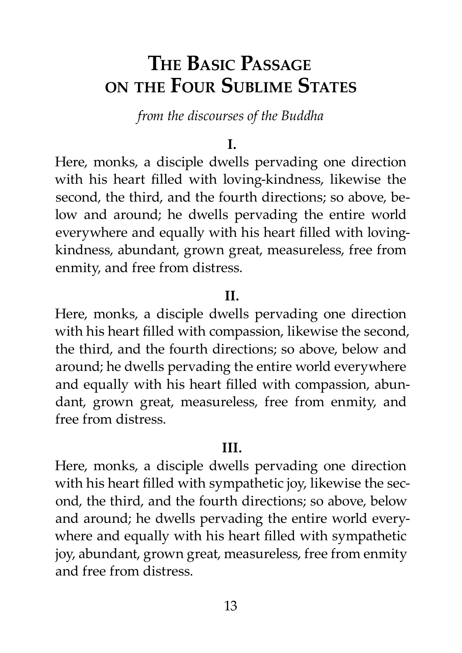### <span id="page-12-0"></span>**THE BASIC PASSAGE ON THE FOUR SUBLIME STATES**

*from the discourses of the Buddha*

**I.**

Here, monks, a disciple dwells pervading one direction with his heart filled with loving-kindness, likewise the second, the third, and the fourth directions; so above, below and around; he dwells pervading the entire world everywhere and equally with his heart filled with lovingkindness, abundant, grown great, measureless, free from enmity, and free from distress.

#### **II.**

Here, monks, a disciple dwells pervading one direction with his heart filled with compassion, likewise the second, the third, and the fourth directions; so above, below and around; he dwells pervading the entire world everywhere and equally with his heart filled with compassion, abundant, grown great, measureless, free from enmity, and free from distress.

#### **III.**

Here, monks, a disciple dwells pervading one direction with his heart filled with sympathetic joy, likewise the second, the third, and the fourth directions; so above, below and around; he dwells pervading the entire world everywhere and equally with his heart filled with sympathetic joy, abundant, grown great, measureless, free from enmity and free from distress.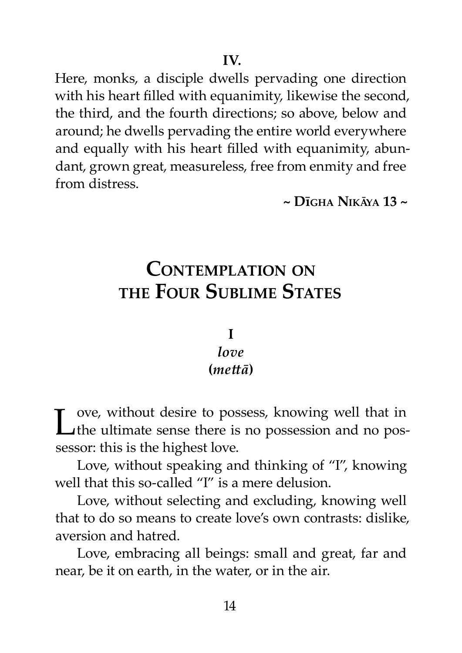<span id="page-13-0"></span>Here, monks, a disciple dwells pervading one direction with his heart filled with equanimity, likewise the second, the third, and the fourth directions; so above, below and around; he dwells pervading the entire world everywhere and equally with his heart filled with equanimity, abundant, grown great, measureless, free from enmity and free from distress.

**~ DīGHA NIKĀYA 13 ~**

### **CONTEMPLATION ON THE FOUR SUBLIME STATES**

#### **I**  *love* **(***me�ā***)**

Love, without desire to possess, knowing well that in the ultimate sense there is no possession and no possessor: this is the highest love.

Love, without speaking and thinking of "I", knowing well that this so-called "I" is a mere delusion.

Love, without selecting and excluding, knowing well that to do so means to create love's own contrasts: dislike, aversion and hatred.

Love, embracing all beings: small and great, far and near, be it on earth, in the water, or in the air.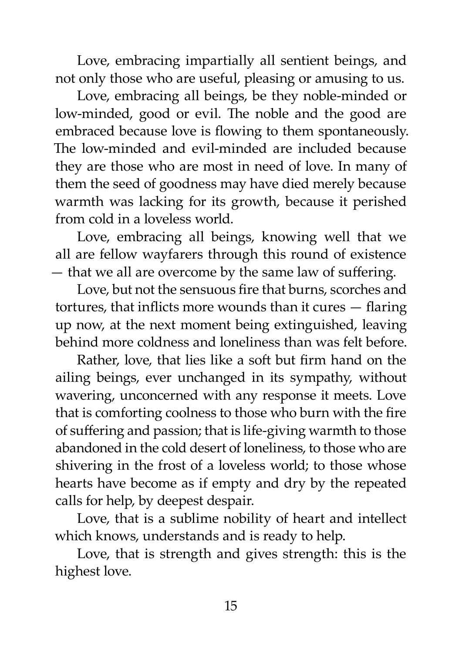Love, embracing impartially all sentient beings, and not only those who are useful, pleasing or amusing to us.

Love, embracing all beings, be they noble-minded or low-minded, good or evil. The noble and the good are embraced because love is flowing to them spontaneously. �e low-minded and evil-minded are included because they are those who are most in need of love. In many of them the seed of goodness may have died merely because warmth was lacking for its growth, because it perished from cold in a loveless world.

Love, embracing all beings, knowing well that we all are fellow wayfarers through this round of existence — that we all are overcome by the same law of suffering.

Love, but not the sensuous fire that burns, scorches and tortures, that inflicts more wounds than it cures — flaring up now, at the next moment being extinguished, leaving behind more coldness and loneliness than was felt before.

Rather, love, that lies like a soft but firm hand on the ailing beings, ever unchanged in its sympathy, without wavering, unconcerned with any response it meets. Love that is comforting coolness to those who burn with the fire of suffering and passion; that is life-giving warmth to those abandoned in the cold desert of loneliness, to those who are shivering in the frost of a loveless world; to those whose hearts have become as if empty and dry by the repeated calls for help, by deepest despair.

Love, that is a sublime nobility of heart and intellect which knows, understands and is ready to help.

Love, that is strength and gives strength: this is the highest love.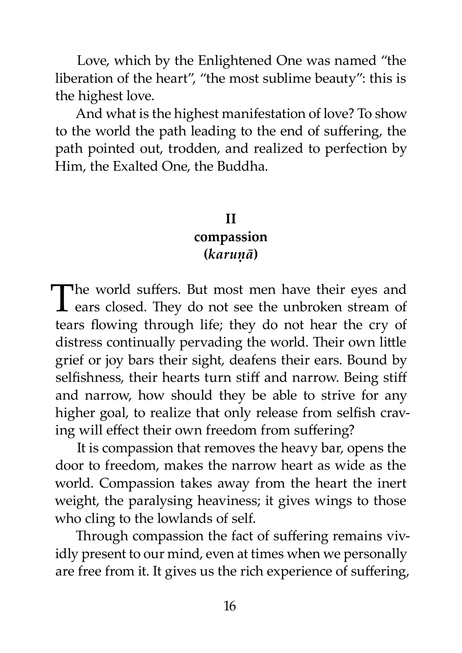<span id="page-15-0"></span>Love, which by the Enlightened One was named "the liberation of the heart", "the most sublime beauty": this is the highest love.

And what is the highest manifestation of love? To show to the world the path leading to the end of suffering, the path pointed out, trodden, and realized to perfection by Him, the Exalted One, the Buddha.

#### **II**

#### **compassion (***karuṇā***)**

The world suffers. But most men have their eyes and  $\blacktriangle$  ears closed. They do not see the unbroken stream of tears flowing through life; they do not hear the cry of distress continually pervading the world. Their own little grief or joy bars their sight, deafens their ears. Bound by selfishness, their hearts turn stiff and narrow. Being stiff and narrow, how should they be able to strive for any higher goal, to realize that only release from selfish craving will effect their own freedom from suffering?

It is compassion that removes the heavy bar, opens the door to freedom, makes the narrow heart as wide as the world. Compassion takes away from the heart the inert weight, the paralysing heaviness; it gives wings to those who cling to the lowlands of self.

Through compassion the fact of suffering remains vividly present to our mind, even at times when we personally are free from it. It gives us the rich experience of suffering,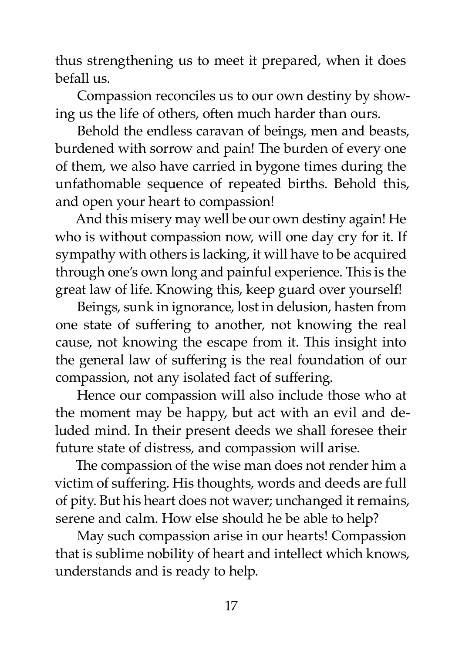thus strengthening us to meet it prepared, when it does befall us.

Compassion reconciles us to our own destiny by showing us the life of others, often much harder than ours.

Behold the endless caravan of beings, men and beasts, burdened with sorrow and pain! The burden of every one of them, we also have carried in bygone times during the unfathomable sequence of repeated births. Behold this, and open your heart to compassion!

And this misery may well be our own destiny again! He who is without compassion now, will one day cry for it. If sympathy with others is lacking, it will have to be acquired through one's own long and painful experience. This is the great law of life. Knowing this, keep guard over yourself!

Beings, sunk in ignorance, lost in delusion, hasten from one state of suffering to another, not knowing the real cause, not knowing the escape from it. This insight into the general law of suffering is the real foundation of our compassion, not any isolated fact of suffering.

Hence our compassion will also include those who at the moment may be happy, but act with an evil and deluded mind. In their present deeds we shall foresee their future state of distress, and compassion will arise.

The compassion of the wise man does not render him a victim of suffering. His thoughts, words and deeds are full of pity. But his heart does not waver; unchanged it remains, serene and calm. How else should he be able to help?

May such compassion arise in our hearts! Compassion that is sublime nobility of heart and intellect which knows, understands and is ready to help.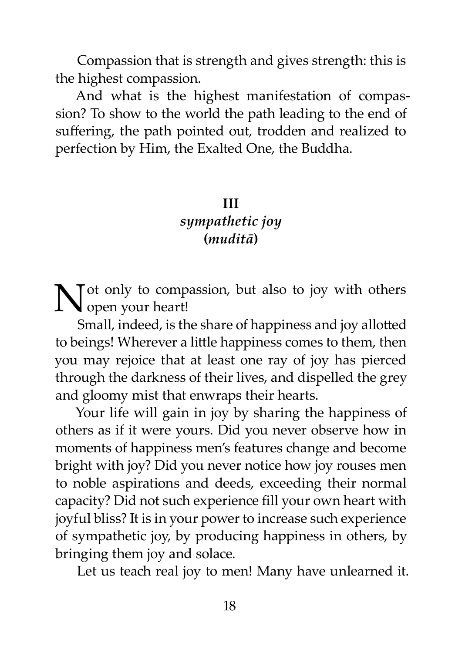<span id="page-17-0"></span>Compassion that is strength and gives strength: this is the highest compassion.

And what is the highest manifestation of compassion? To show to the world the path leading to the end of suffering, the path pointed out, trodden and realized to perfection by Him, the Exalted One, the Buddha.

#### **III**

#### *sympathetic joy* **(***muditā***)**

Not only to compassion, but also to joy with others<br>
Open your heart!

Small, indeed, is the share of happiness and joy allotted to beings! Wherever a little happiness comes to them, then you may rejoice that at least one ray of joy has pierced through the darkness of their lives, and dispelled the grey and gloomy mist that enwraps their hearts.

Your life will gain in joy by sharing the happiness of others as if it were yours. Did you never observe how in moments of happiness men's features change and become bright with joy? Did you never notice how joy rouses men to noble aspirations and deeds, exceeding their normal capacity? Did not such experience fill your own heart with joyful bliss? It is in your power to increase such experience of sympathetic joy, by producing happiness in others, by bringing them joy and solace.

Let us teach real joy to men! Many have unlearned it.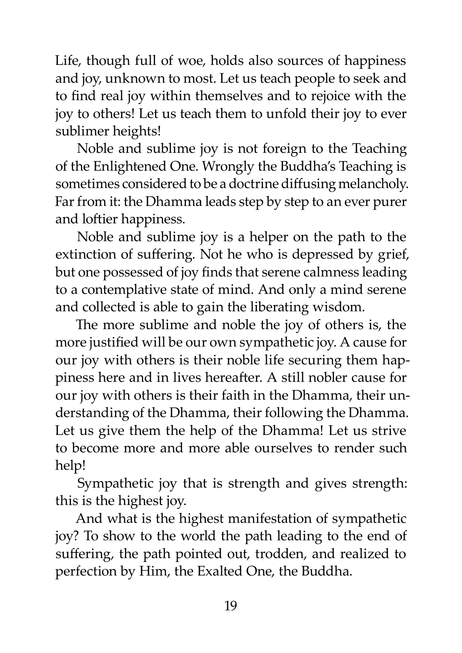Life, though full of woe, holds also sources of happiness and joy, unknown to most. Let us teach people to seek and to find real joy within themselves and to rejoice with the joy to others! Let us teach them to unfold their joy to ever sublimer heights!

Noble and sublime joy is not foreign to the Teaching of the Enlightened One. Wrongly the Buddha's Teaching is sometimes considered to be a doctrine diffusing melancholy. Far from it: the Dhamma leads step by step to an ever purer and loftier happiness.

Noble and sublime joy is a helper on the path to the extinction of suffering. Not he who is depressed by grief, but one possessed of joy finds that serene calmness leading to a contemplative state of mind. And only a mind serene and collected is able to gain the liberating wisdom.

The more sublime and noble the joy of others is, the more justified will be our own sympathetic joy. A cause for our joy with others is their noble life securing them happiness here and in lives hereafter. A still nobler cause for our joy with others is their faith in the Dhamma, their understanding of the Dhamma, their following the Dhamma. Let us give them the help of the Dhamma! Let us strive to become more and more able ourselves to render such help!

Sympathetic joy that is strength and gives strength: this is the highest joy.

And what is the highest manifestation of sympathetic joy? To show to the world the path leading to the end of suffering, the path pointed out, trodden, and realized to perfection by Him, the Exalted One, the Buddha.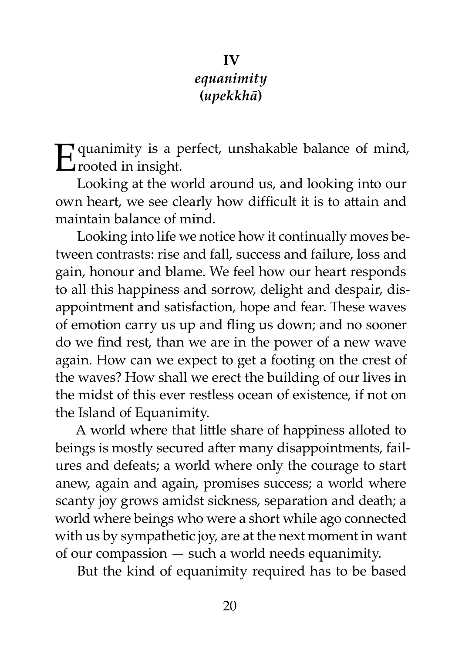#### **IV** *equanimity* **(***upekkhā***)**

<span id="page-19-0"></span>Equanimity is a perfect, unshakable balance of mind,<br>
Frooted in insight.

Looking at the world around us, and looking into our own heart, we see clearly how difficult it is to attain and maintain balance of mind.

Looking into life we notice how it continually moves between contrasts: rise and fall, success and failure, loss and gain, honour and blame. We feel how our heart responds to all this happiness and sorrow, delight and despair, disappointment and satisfaction, hope and fear. These waves of emotion carry us up and fling us down; and no sooner do we find rest, than we are in the power of a new wave again. How can we expect to get a footing on the crest of the waves? How shall we erect the building of our lives in the midst of this ever restless ocean of existence, if not on the Island of Equanimity.

A world where that little share of happiness alloted to beings is mostly secured after many disappointments, failures and defeats; a world where only the courage to start anew, again and again, promises success; a world where scanty joy grows amidst sickness, separation and death; a world where beings who were a short while ago connected with us by sympathetic joy, are at the next moment in want of our compassion  $-$  such a world needs equanimity.

But the kind of equanimity required has to be based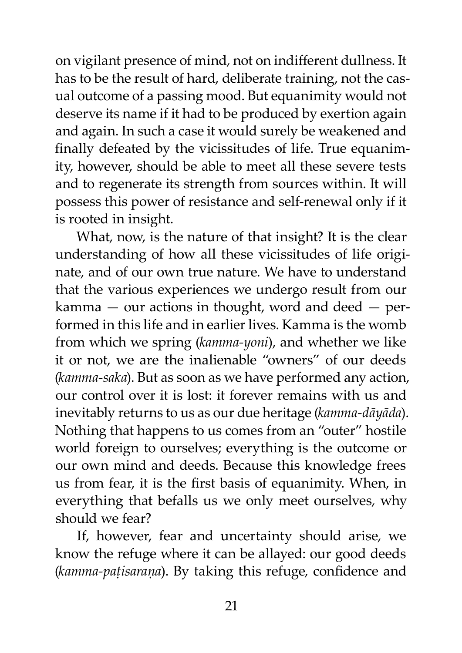on vigilant presence of mind, not on indifferent dullness. It has to be the result of hard, deliberate training, not the casual outcome of a passing mood. But equanimity would not deserve its name if it had to be produced by exertion again and again. In such a case it would surely be weakened and finally defeated by the vicissitudes of life. True equanimity, however, should be able to meet all these severe tests and to regenerate its strength from sources within. It will possess this power of resistance and self-renewal only if it is rooted in insight.

What, now, is the nature of that insight? It is the clear understanding of how all these vicissitudes of life originate, and of our own true nature. We have to understand that the various experiences we undergo result from our kamma — our actions in thought, word and deed — performed in this life and in earlier lives. Kamma is the womb from which we spring *(kamma-yoni)*, and whether we like it or not, we are the inalienable "owners" of our deeds (*kamma-saka*). But as soon as we have performed any action, our control over it is lost: it forever remains with us and inevitably returns to us as our due heritage (*kamma-dāyāda*). Nothing that happens to us comes from an "outer" hostile world foreign to ourselves; everything is the outcome or our own mind and deeds. Because this knowledge frees us from fear, it is the first basis of equanimity. When, in everything that befalls us we only meet ourselves, why should we fear?

If, however, fear and uncertainty should arise, we know the refuge where it can be allayed: our good deeds (*kamma-paṭisaraṇa*). By taking this refuge, confidence and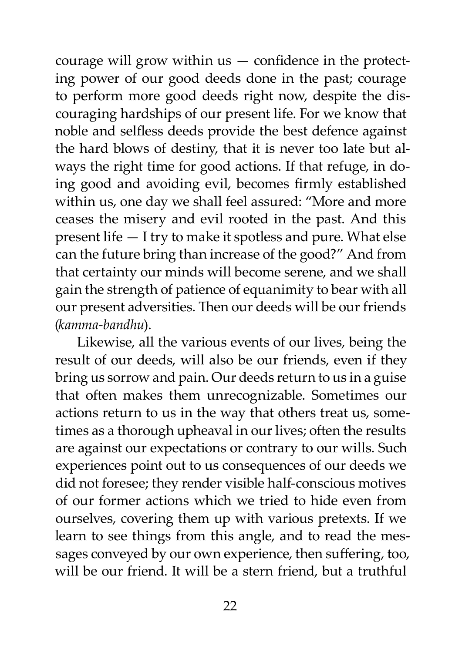courage will grow within us — confidence in the protecting power of our good deeds done in the past; courage to perform more good deeds right now, despite the discouraging hardships of our present life. For we know that noble and selfless deeds provide the best defence against the hard blows of destiny, that it is never too late but always the right time for good actions. If that refuge, in doing good and avoiding evil, becomes firmly established within us, one day we shall feel assured: "More and more ceases the misery and evil rooted in the past. And this present life — I try to make it spotless and pure. What else can the future bring than increase of the good?" And from that certainty our minds will become serene, and we shall gain the strength of patience of equanimity to bear with all our present adversities. Then our deeds will be our friends (*kamma-bandhu*).

Likewise, all the various events of our lives, being the result of our deeds, will also be our friends, even if they bring us sorrow and pain. Our deeds return to us in a guise that o�en makes them unrecognizable. Sometimes our actions return to us in the way that others treat us, sometimes as a thorough upheaval in our lives; often the results are against our expectations or contrary to our wills. Such experiences point out to us consequences of our deeds we did not foresee; they render visible half-conscious motives of our former actions which we tried to hide even from ourselves, covering them up with various pretexts. If we learn to see things from this angle, and to read the messages conveyed by our own experience, then suffering, too, will be our friend. It will be a stern friend, but a truthful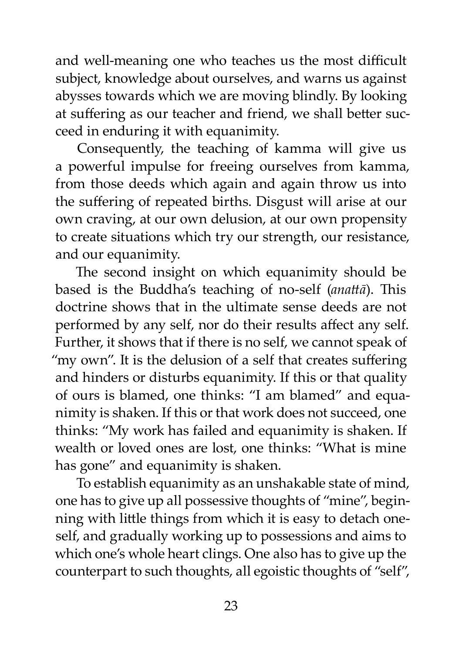and well-meaning one who teaches us the most difficult subject, knowledge about ourselves, and warns us against abysses towards which we are moving blindly. By looking at suffering as our teacher and friend, we shall better succeed in enduring it with equanimity.

Consequently, the teaching of kamma will give us a powerful impulse for freeing ourselves from kamma, from those deeds which again and again throw us into the suffering of repeated births. Disgust will arise at our own craving, at our own delusion, at our own propensity to create situations which try our strength, our resistance, and our equanimity.

The second insight on which equanimity should be based is the Buddha's teaching of no-self (*anattā*). This doctrine shows that in the ultimate sense deeds are not performed by any self, nor do their results affect any self. Further, it shows that if there is no self, we cannot speak of "my own". It is the delusion of a self that creates suffering and hinders or disturbs equanimity. If this or that quality of ours is blamed, one thinks: "I am blamed" and equanimity is shaken. If this or that work does not succeed, one thinks: "My work has failed and equanimity is shaken. If wealth or loved ones are lost, one thinks: "What is mine has gone" and equanimity is shaken.

To establish equanimity as an unshakable state of mind, one has to give up all possessive thoughts of "mine", beginning with little things from which it is easy to detach oneself, and gradually working up to possessions and aims to which one's whole heart clings. One also has to give up the counterpart to such thoughts, all egoistic thoughts of "self",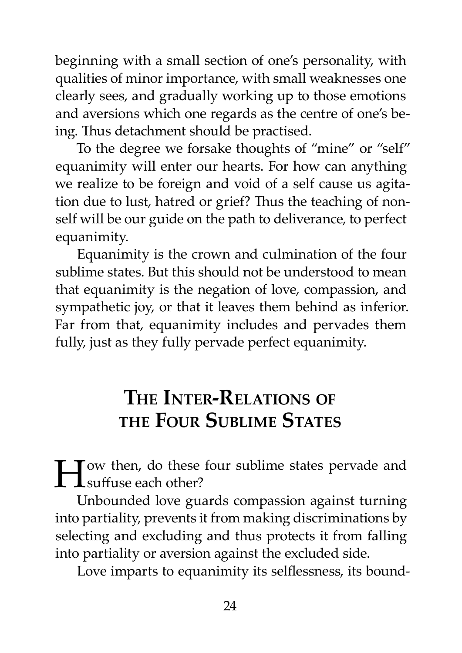<span id="page-23-0"></span>beginning with a small section of one's personality, with qualities of minor importance, with small weaknesses one clearly sees, and gradually working up to those emotions and aversions which one regards as the centre of one's being. Thus detachment should be practised.

To the degree we forsake thoughts of "mine" or "self" equanimity will enter our hearts. For how can anything we realize to be foreign and void of a self cause us agitation due to lust, hatred or grief? Thus the teaching of nonself will be our guide on the path to deliverance, to perfect equanimity.

Equanimity is the crown and culmination of the four sublime states. But this should not be understood to mean that equanimity is the negation of love, compassion, and sympathetic joy, or that it leaves them behind as inferior. Far from that, equanimity includes and pervades them fully, just as they fully pervade perfect equanimity.

### **THE INTER-RELATIONS OF THE FOUR SUBLIME STATES**

**How then, do these four sublime states pervade and suffuse each other?** 

Unbounded love guards compassion against turning into partiality, prevents it from making discriminations by selecting and excluding and thus protects it from falling into partiality or aversion against the excluded side.

Love imparts to equanimity its selflessness, its bound-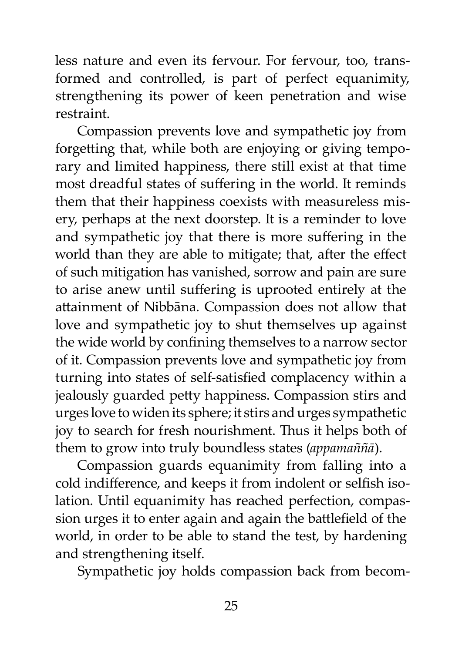less nature and even its fervour. For fervour, too, transformed and controlled, is part of perfect equanimity, strengthening its power of keen penetration and wise restraint.

Compassion prevents love and sympathetic joy from forgetting that, while both are enjoying or giving temporary and limited happiness, there still exist at that time most dreadful states of suffering in the world. It reminds them that their happiness coexists with measureless misery, perhaps at the next doorstep. It is a reminder to love and sympathetic joy that there is more suffering in the world than they are able to mitigate; that, after the effect of such mitigation has vanished, sorrow and pain are sure to arise anew until suffering is uprooted entirely at the attainment of Nibbāna. Compassion does not allow that love and sympathetic joy to shut themselves up against the wide world by confining themselves to a narrow sector of it. Compassion prevents love and sympathetic joy from turning into states of self-satisfied complacency within a jealously guarded petty happiness. Compassion stirs and urges love to widen its sphere; it stirs and urges sympathetic joy to search for fresh nourishment. Thus it helps both of them to grow into truly boundless states (*appamaññā*).

Compassion guards equanimity from falling into a cold indifference, and keeps it from indolent or selfish isolation. Until equanimity has reached perfection, compassion urges it to enter again and again the battlefield of the world, in order to be able to stand the test, by hardening and strengthening itself.

Sympathetic joy holds compassion back from becom-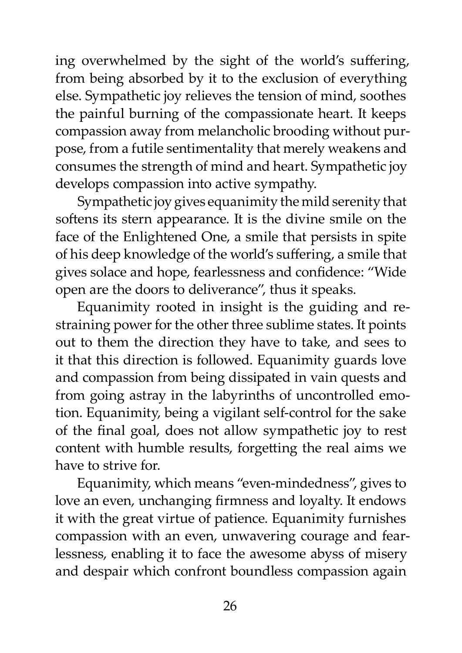ing overwhelmed by the sight of the world's suffering, from being absorbed by it to the exclusion of everything else. Sympathetic joy relieves the tension of mind, soothes the painful burning of the compassionate heart. It keeps compassion away from melancholic brooding without purpose, from a futile sentimentality that merely weakens and consumes the strength of mind and heart. Sympathetic joy develops compassion into active sympathy.

Sympathetic joy gives equanimity the mild serenity that softens its stern appearance. It is the divine smile on the face of the Enlightened One, a smile that persists in spite of his deep knowledge of the world's suffering, a smile that gives solace and hope, fearlessness and confidence: "Wide open are the doors to deliverance", thus it speaks.

Equanimity rooted in insight is the guiding and restraining power for the other three sublime states. It points out to them the direction they have to take, and sees to it that this direction is followed. Equanimity guards love and compassion from being dissipated in vain quests and from going astray in the labyrinths of uncontrolled emotion. Equanimity, being a vigilant self-control for the sake of the final goal, does not allow sympathetic joy to rest content with humble results, forgetting the real aims we have to strive for.

Equanimity, which means "even-mindedness", gives to love an even, unchanging firmness and loyalty. It endows it with the great virtue of patience. Equanimity furnishes compassion with an even, unwavering courage and fearlessness, enabling it to face the awesome abyss of misery and despair which confront boundless compassion again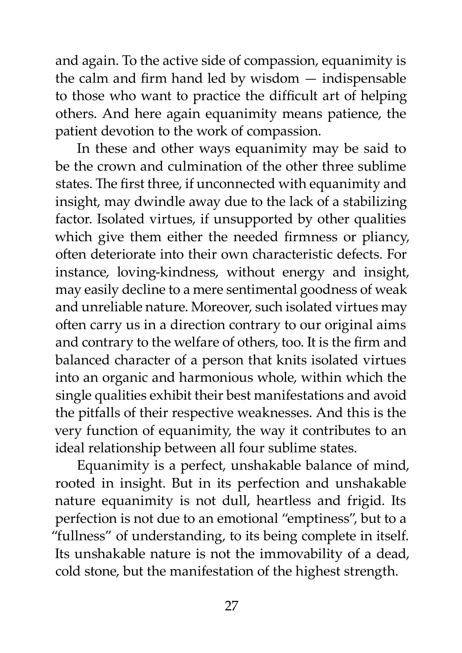and again. To the active side of compassion, equanimity is the calm and firm hand led by wisdom — indispensable to those who want to practice the difficult art of helping others. And here again equanimity means patience, the patient devotion to the work of compassion.

In these and other ways equanimity may be said to be the crown and culmination of the other three sublime states. The first three, if unconnected with equanimity and insight, may dwindle away due to the lack of a stabilizing factor. Isolated virtues, if unsupported by other qualities which give them either the needed firmness or pliancy, often deteriorate into their own characteristic defects. For instance, loving-kindness, without energy and insight, may easily decline to a mere sentimental goodness of weak and unreliable nature. Moreover, such isolated virtues may often carry us in a direction contrary to our original aims and contrary to the welfare of others, too. It is the firm and balanced character of a person that knits isolated virtues into an organic and harmonious whole, within which the single qualities exhibit their best manifestations and avoid the pitfalls of their respective weaknesses. And this is the very function of equanimity, the way it contributes to an ideal relationship between all four sublime states.

Equanimity is a perfect, unshakable balance of mind, rooted in insight. But in its perfection and unshakable nature equanimity is not dull, heartless and frigid. Its perfection is not due to an emotional "emptiness", but to a "fullness" of understanding, to its being complete in itself. Its unshakable nature is not the immovability of a dead, cold stone, but the manifestation of the highest strength.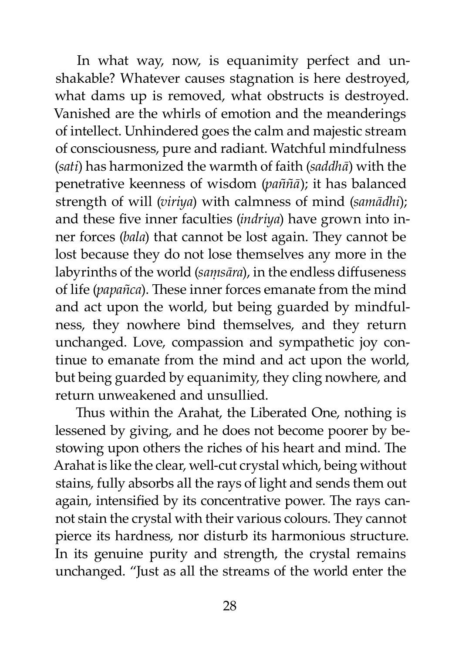In what way, now, is equanimity perfect and unshakable? Whatever causes stagnation is here destroyed, what dams up is removed, what obstructs is destroyed. Vanished are the whirls of emotion and the meanderings of intellect. Unhindered goes the calm and majestic stream of consciousness, pure and radiant. Watchful mindfulness (*sati*) has harmonized the warmth of faith (*saddhā*) with the penetrative keenness of wisdom (*paññā*); it has balanced strength of will (*viriya*) with calmness of mind (*samādhi*); and these five inner faculties (*indriya*) have grown into inner forces (*bala*) that cannot be lost again. They cannot be lost because they do not lose themselves any more in the labyrinths of the world (*saṃsāra*), in the endless diffuseness of life (*papañca*). These inner forces emanate from the mind and act upon the world, but being guarded by mindfulness, they nowhere bind themselves, and they return unchanged. Love, compassion and sympathetic joy continue to emanate from the mind and act upon the world, but being guarded by equanimity, they cling nowhere, and return unweakened and unsullied.

Thus within the Arahat, the Liberated One, nothing is lessened by giving, and he does not become poorer by bestowing upon others the riches of his heart and mind. The Arahat is like the clear, well-cut crystal which, being without stains, fully absorbs all the rays of light and sends them out again, intensified by its concentrative power. The rays cannot stain the crystal with their various colours. They cannot pierce its hardness, nor disturb its harmonious structure. In its genuine purity and strength, the crystal remains unchanged. "Just as all the streams of the world enter the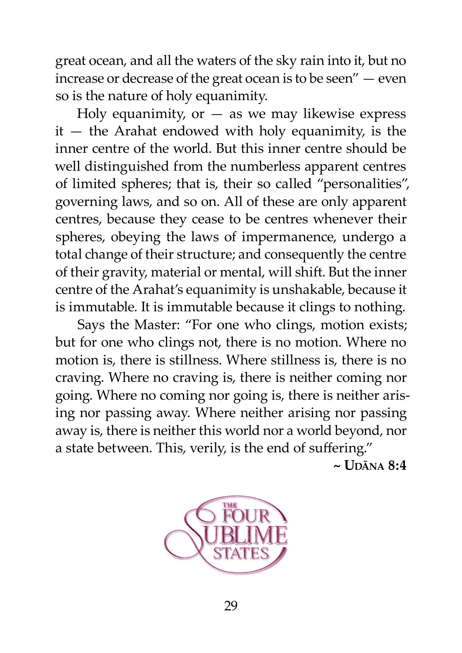great ocean, and all the waters of the sky rain into it, but no increase or decrease of the great ocean is to be seen" — even so is the nature of holy equanimity.

Holy equanimity, or  $-$  as we may likewise express it — the Arahat endowed with holy equanimity, is the inner centre of the world. But this inner centre should be well distinguished from the numberless apparent centres of limited spheres; that is, their so called "personalities", governing laws, and so on. All of these are only apparent centres, because they cease to be centres whenever their spheres, obeying the laws of impermanence, undergo a total change of their structure; and consequently the centre of their gravity, material or mental, will shift. But the inner centre of the Arahat's equanimity is unshakable, because it is immutable. It is immutable because it clings to nothing.

Says the Master: "For one who clings, motion exists; but for one who clings not, there is no motion. Where no motion is, there is stillness. Where stillness is, there is no craving. Where no craving is, there is neither coming nor going. Where no coming nor going is, there is neither arising nor passing away. Where neither arising nor passing away is, there is neither this world nor a world beyond, nor a state between. This, verily, is the end of suffering."

**~ UDĀNA 8:4**